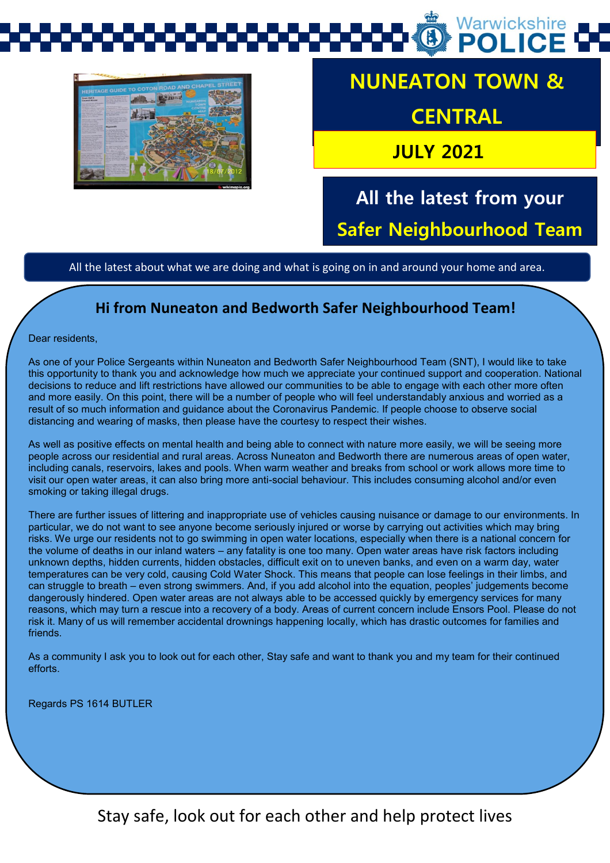# **Warwickshire**



## **NUNEATON TOWN & CENTRAL**

 **JULY 2021**

## **All the latest from your Safer Neighbourhood Team**

All the latest about what we are doing and what is going on in and around your home and area.

#### **Hi from Nuneaton and Bedworth Safer Neighbourhood Team!**

Dear residents,

As one of your Police Sergeants within Nuneaton and Bedworth Safer Neighbourhood Team (SNT), I would like to take this opportunity to thank you and acknowledge how much we appreciate your continued support and cooperation. National decisions to reduce and lift restrictions have allowed our communities to be able to engage with each other more often and more easily. On this point, there will be a number of people who will feel understandably anxious and worried as a result of so much information and guidance about the Coronavirus Pandemic. If people choose to observe social distancing and wearing of masks, then please have the courtesy to respect their wishes.

As well as positive effects on mental health and being able to connect with nature more easily, we will be seeing more people across our residential and rural areas. Across Nuneaton and Bedworth there are numerous areas of open water, including canals, reservoirs, lakes and pools. When warm weather and breaks from school or work allows more time to visit our open water areas, it can also bring more anti-social behaviour. This includes consuming alcohol and/or even smoking or taking illegal drugs.

There are further issues of littering and inappropriate use of vehicles causing nuisance or damage to our environments. In particular, we do not want to see anyone become seriously injured or worse by carrying out activities which may bring risks. We urge our residents not to go swimming in open water locations, especially when there is a national concern for the volume of deaths in our inland waters – any fatality is one too many. Open water areas have risk factors including unknown depths, hidden currents, hidden obstacles, difficult exit on to uneven banks, and even on a warm day, water temperatures can be very cold, causing Cold Water Shock. This means that people can lose feelings in their limbs, and can struggle to breath – even strong swimmers. And, if you add alcohol into the equation, peoples' judgements become dangerously hindered. Open water areas are not always able to be accessed quickly by emergency services for many reasons, which may turn a rescue into a recovery of a body. Areas of current concern include Ensors Pool. Please do not risk it. Many of us will remember accidental drownings happening locally, which has drastic outcomes for families and friends.

As a community I ask you to look out for each other, Stay safe and want to thank you and my team for their continued efforts.

Regards PS 1614 BUTLER

Stay safe, look out for each other and help protect lives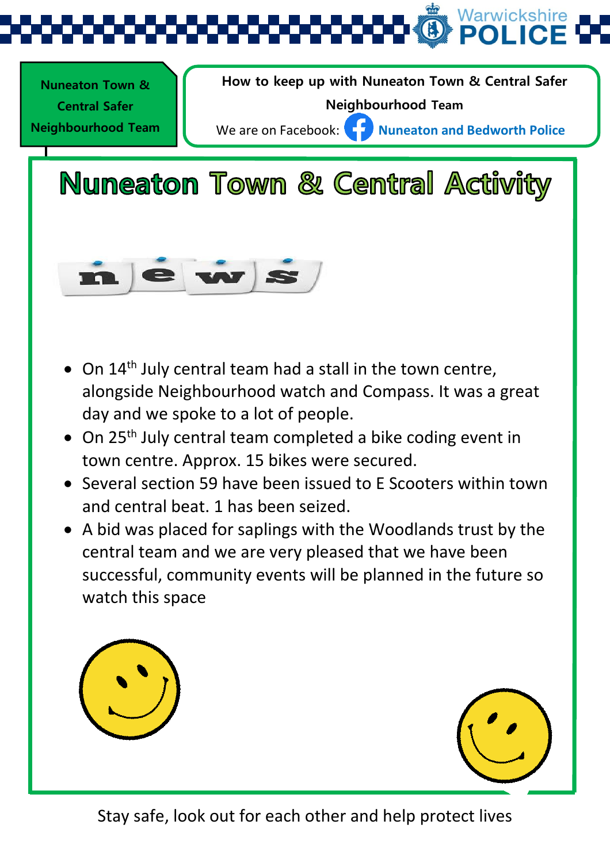

**Nuneaton Town & Central Activity** 



- On 14<sup>th</sup> July central team had a stall in the town centre, alongside Neighbourhood watch and Compass. It was a great day and we spoke to a lot of people.
- $\bullet$  On 25<sup>th</sup> July central team completed a bike coding event in town centre. Approx. 15 bikes were secured.
- Several section 59 have been issued to E Scooters within town and central beat. 1 has been seized.
- A bid was placed for saplings with the Woodlands trust by the central team and we are very pleased that we have been successful, community events will be planned in the future so watch this space





Stay safe, look out for each other and help protect lives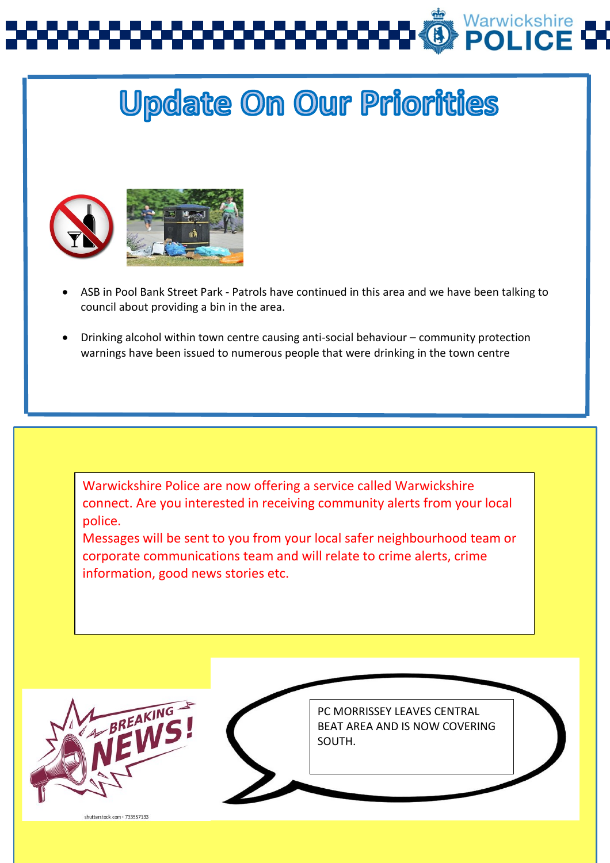

## **Update On Our Priorities**



- ASB in Pool Bank Street Park Patrols have continued in this area and we have been talking to council about providing a bin in the area.
- Drinking alcohol within town centre causing anti-social behaviour community protection warnings have been issued to numerous people that were drinking in the town centre



Messages will be sent to you from your local safer neighbourhood team or corporate communications team and will relate to crime alerts, crime information, good news stories etc.

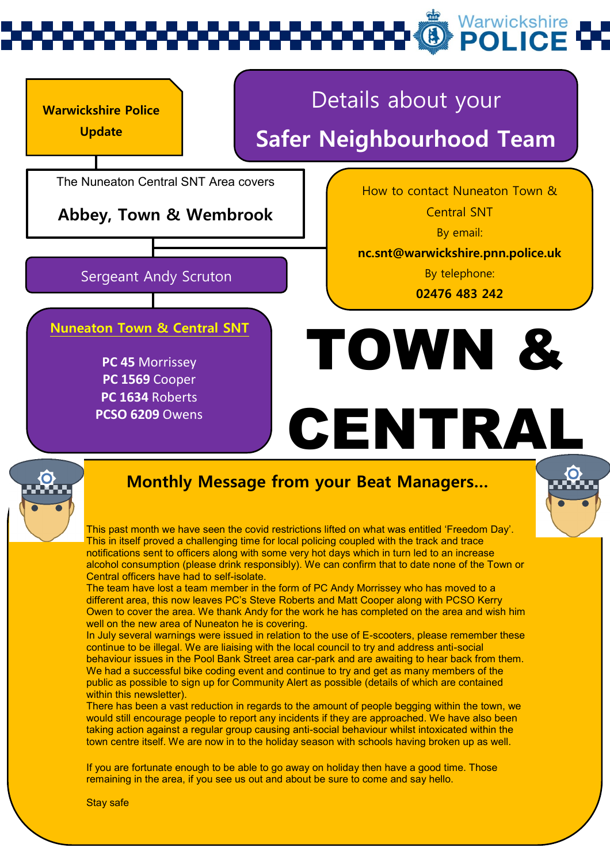# Warwickshire<br>**POLICE**

### **Warwickshire Police Update**

## Details about your

**Safer Neighbourhood Team**

The Nuneaton Central SNT Area covers

**Abbey, Town & Wembrook**

#### Sergeant Andy Scruton

**Nuneaton Town & Central SNT**

**PC 45** Morrissey **PC 1569** Cooper **PC 1634** Roberts **PCSO 6209** Owens How to contact Nuneaton Town &

Central SNT

By email:

**nc.snt@warwickshire.pnn.police.uk**

By telephone:

**02476 483 242**

TOWN &

CENTR[AL](https://www.google.com/url?sa=i&url=https://www.pinclipart.com/maxpin/bRhThi/&psig=AOvVaw2B4XmJ3SxPopkW4YUSW27v&ust=1619881338615000&source=images&cd=vfe&ved=0CAIQjRxqFwoTCMjMtLCepvACFQAAAAAdAAAAABAY)



#### **Monthly Message from your Beat Managers…**

This past month we have seen the covid restrictions lifted on what was entitled 'Freedom Day'. This in itself proved a challenging time for local policing coupled with the track and trace notifications sent to officers along with some very hot days which in turn led to an increase alcohol consumption (please drink responsibly). We can confirm that to date none of the Town or Central officers have had to self-isolate.

The team have lost a team member in the form of PC Andy Morrissey who has moved to a different area, this now leaves PC's Steve Roberts and Matt Cooper along with PCSO Kerry Owen to cover the area. We thank Andy for the work he has completed on the area and wish him well on the new area of Nuneaton he is covering.

In July several warnings were issued in relation to the use of E-scooters, please remember these continue to be illegal. We are liaising with the local council to try and address anti-social behaviour issues in the Pool Bank Street area car-park and are awaiting to hear back from them. We had a successful bike coding event and continue to try and get as many members of the public as possible to sign up for Community Alert as possible (details of which are contained within this newsletter).

There has been a vast reduction in regards to the amount of people begging within the town, we would still encourage people to report any incidents if they are approached. We have also been taking action against a regular group causing anti-social behaviour whilst intoxicated within the town centre itself. We are now in to the holiday season with schools having broken up as well.

If you are fortunate enough to be able to go away on holiday then have a good time. Those remaining in the area, if you see us out and about be sure to come and say hello.

Stay safe